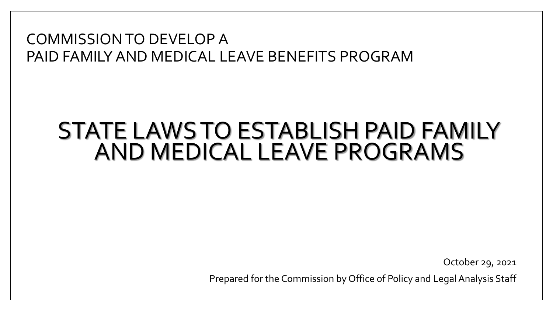#### COMMISSION TO DEVELOP A PAID FAMILY AND MEDICAL LEAVE BENEFITS PROGRAM

### STATE LAWS TO ESTABLISH PAID FAMILY AND MEDICAL LEAVE PROGRAMS

October 29, 2021

Prepared for the Commission by Office of Policy and Legal Analysis Staff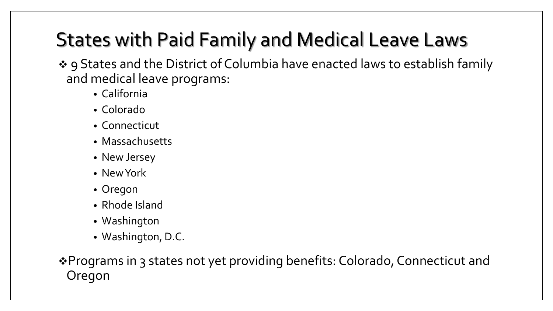# States with Paid Family and Medical Leave Laws

❖ 9 States and the District of Columbia have enacted laws to establish family and medical leave programs:

- California
- Colorado
- Connecticut
- Massachusetts
- New Jersey
- New York
- Oregon
- Rhode Island
- Washington
- Washington, D.C.

❖Programs in 3 states not yet providing benefits: Colorado, Connecticut and Oregon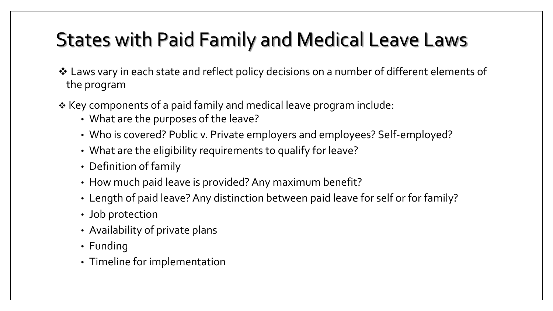### States with Paid Family and Medical Leave Laws

- ❖ Laws vary in each state and reflect policy decisions on a number of different elements of the program
- ❖ Key components of a paid family and medical leave program include:
	- What are the purposes of the leave?
	- Who is covered? Public v. Private employers and employees? Self-employed?
	- What are the eligibility requirements to qualify for leave?
	- Definition of family
	- How much paid leave is provided? Any maximum benefit?
	- Length of paid leave? Any distinction between paid leave for self or for family?
	- Job protection
	- Availability of private plans
	- Funding
	- Timeline for implementation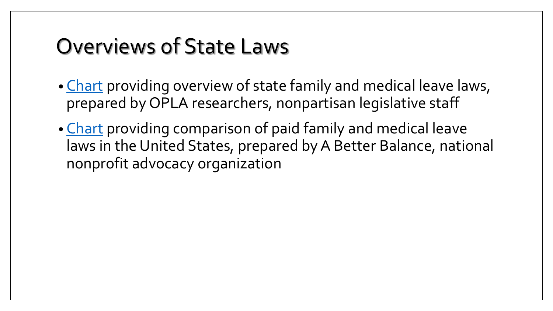# Overviews of State Laws

- [Chart](https://legislature.maine.gov/doc/7333) providing overview of state family and medical leave laws, prepared by OPLA researchers, nonpartisan legislative staff
- [Chart](https://legislature.maine.gov/doc/7334) providing comparison of paid family and medical leave laws in the United States, prepared by A Better Balance, national nonprofit advocacy organization